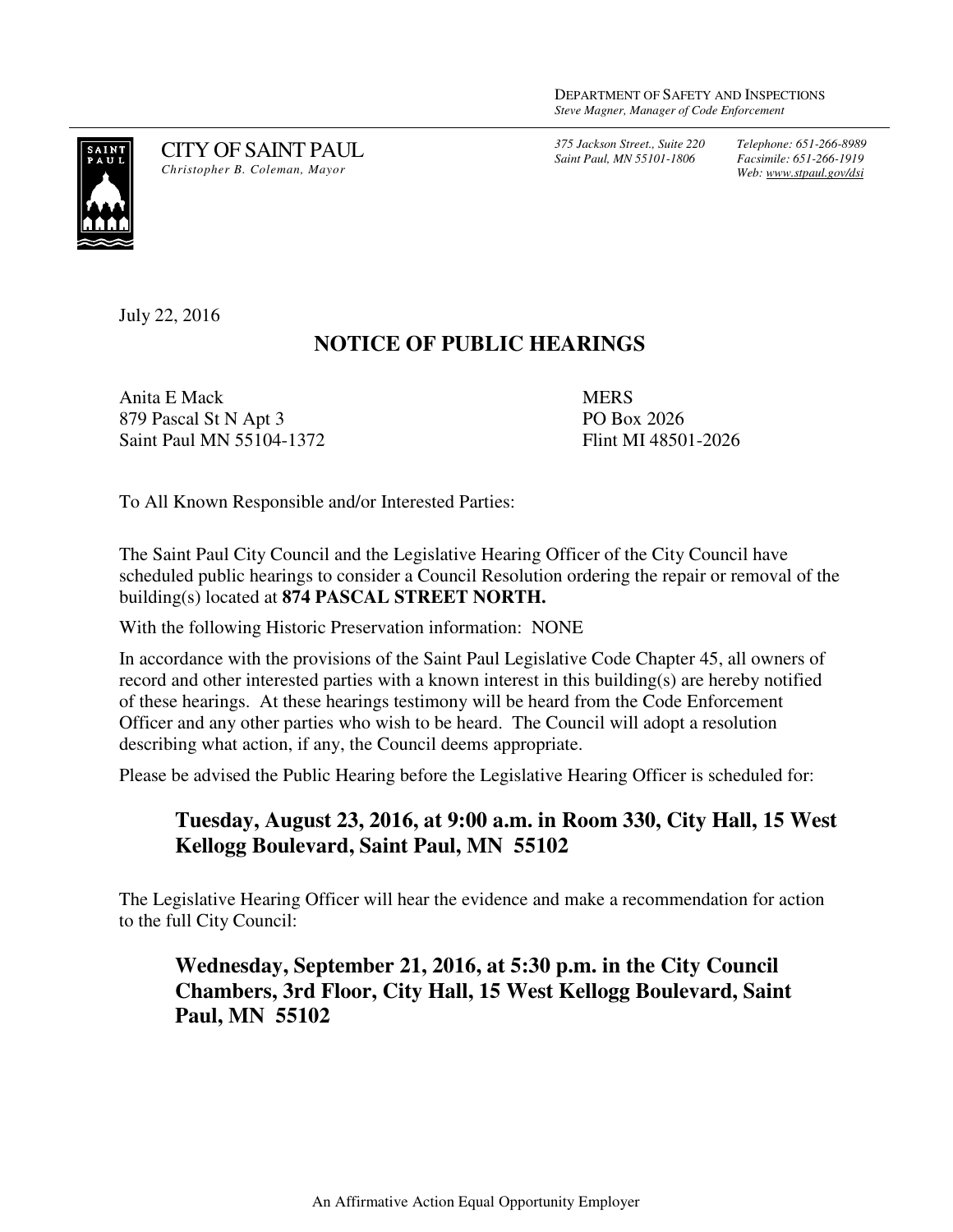*375 Jackson Street., Suite 220 Saint Paul, MN 55101-1806*

*Telephone: 651-266-8989 Facsimile: 651-266-1919 Web: www.stpaul.gov/dsi*



CITY OF SAINT PAUL *Christopher B. Coleman, Mayor* 

July 22, 2016

## **NOTICE OF PUBLIC HEARINGS**

Anita E Mack 879 Pascal St N Apt 3 Saint Paul MN 55104-1372 **MERS** PO Box 2026 Flint MI 48501-2026

To All Known Responsible and/or Interested Parties:

The Saint Paul City Council and the Legislative Hearing Officer of the City Council have scheduled public hearings to consider a Council Resolution ordering the repair or removal of the building(s) located at **874 PASCAL STREET NORTH.** 

With the following Historic Preservation information: NONE

In accordance with the provisions of the Saint Paul Legislative Code Chapter 45, all owners of record and other interested parties with a known interest in this building(s) are hereby notified of these hearings. At these hearings testimony will be heard from the Code Enforcement Officer and any other parties who wish to be heard. The Council will adopt a resolution describing what action, if any, the Council deems appropriate.

Please be advised the Public Hearing before the Legislative Hearing Officer is scheduled for:

## **Tuesday, August 23, 2016, at 9:00 a.m. in Room 330, City Hall, 15 West Kellogg Boulevard, Saint Paul, MN 55102**

The Legislative Hearing Officer will hear the evidence and make a recommendation for action to the full City Council:

## **Wednesday, September 21, 2016, at 5:30 p.m. in the City Council Chambers, 3rd Floor, City Hall, 15 West Kellogg Boulevard, Saint Paul, MN 55102**